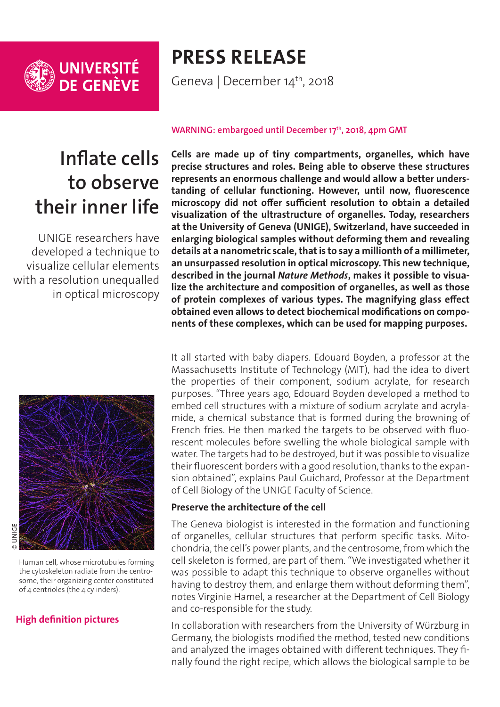

## **PRESS RELEASE**

Geneva | December 14<sup>th</sup>, 2018

# **Inflate cells to observe their inner life**

UNIGE researchers have developed a technique to visualize cellular elements with a resolution unequalled in optical microscopy



© UNIGE

Human cell, whose microtubules forming the cytoskeleton radiate from the centrosome, their organizing center constituted of 4 centrioles (the 4 cylinders).

### **[High definition pictures](https://phototheque.unige.ch/documents/facets?newFacet=mot.cle.marc%3DCdP_181214_Guichard&clearFacets=1)**

#### WARNING: embargoed until December 17<sup>th</sup>, 2018, 4pm GMT

**Cells are made up of tiny compartments, organelles, which have precise structures and roles. Being able to observe these structures represents an enormous challenge and would allow a better understanding of cellular functioning. However, until now, fluorescence microscopy did not offer sufficient resolution to obtain a detailed visualization of the ultrastructure of organelles. Today, researchers at the University of Geneva (UNIGE), Switzerland, have succeeded in enlarging biological samples without deforming them and revealing details at a nanometric scale, that is to say a millionth of a millimeter, an unsurpassed resolution in optical microscopy. This new technique, described in the journal** *Nature Methods***, makes it possible to visualize the architecture and composition of organelles, as well as those of protein complexes of various types. The magnifying glass effect obtained even allows to detect biochemical modifications on components of these complexes, which can be used for mapping purposes.**

It all started with baby diapers. Edouard Boyden, a professor at the Massachusetts Institute of Technology (MIT), had the idea to divert the properties of their component, sodium acrylate, for research purposes. "Three years ago, Edouard Boyden developed a method to embed cell structures with a mixture of sodium acrylate and acrylamide, a chemical substance that is formed during the browning of French fries. He then marked the targets to be observed with fluorescent molecules before swelling the whole biological sample with water. The targets had to be destroyed, but it was possible to visualize their fluorescent borders with a good resolution, thanks to the expansion obtained", explains Paul Guichard, Professor at the Department of Cell Biology of the UNIGE Faculty of Science.

#### **Preserve the architecture of the cell**

The Geneva biologist is interested in the formation and functioning of organelles, cellular structures that perform specific tasks. Mitochondria, the cell's power plants, and the centrosome, from which the cell skeleton is formed, are part of them. "We investigated whether it was possible to adapt this technique to observe organelles without having to destroy them, and enlarge them without deforming them", notes Virginie Hamel, a researcher at the Department of Cell Biology and co-responsible for the study.

In collaboration with researchers from the University of Würzburg in Germany, the biologists modified the method, tested new conditions and analyzed the images obtained with different techniques. They finally found the right recipe, which allows the biological sample to be